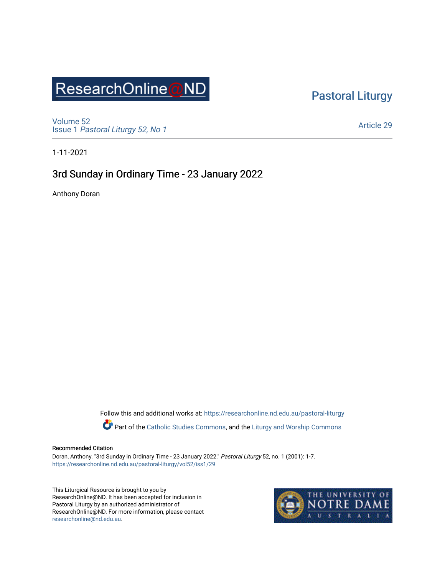# ResearchOnline@ND

[Pastoral Liturgy](https://researchonline.nd.edu.au/pastoral-liturgy) 

[Volume 52](https://researchonline.nd.edu.au/pastoral-liturgy/vol52) Issue 1 [Pastoral Liturgy 52, No 1](https://researchonline.nd.edu.au/pastoral-liturgy/vol52/iss1)

[Article 29](https://researchonline.nd.edu.au/pastoral-liturgy/vol52/iss1/29) 

1-11-2021

### 3rd Sunday in Ordinary Time - 23 January 2022

Anthony Doran

Follow this and additional works at: [https://researchonline.nd.edu.au/pastoral-liturgy](https://researchonline.nd.edu.au/pastoral-liturgy?utm_source=researchonline.nd.edu.au%2Fpastoral-liturgy%2Fvol52%2Fiss1%2F29&utm_medium=PDF&utm_campaign=PDFCoverPages)

Part of the [Catholic Studies Commons,](http://network.bepress.com/hgg/discipline/1294?utm_source=researchonline.nd.edu.au%2Fpastoral-liturgy%2Fvol52%2Fiss1%2F29&utm_medium=PDF&utm_campaign=PDFCoverPages) and the Liturgy and Worship Commons

#### Recommended Citation

Doran, Anthony. "3rd Sunday in Ordinary Time - 23 January 2022." Pastoral Liturgy 52, no. 1 (2001): 1-7. [https://researchonline.nd.edu.au/pastoral-liturgy/vol52/iss1/29](https://researchonline.nd.edu.au/pastoral-liturgy/vol52/iss1/29?utm_source=researchonline.nd.edu.au%2Fpastoral-liturgy%2Fvol52%2Fiss1%2F29&utm_medium=PDF&utm_campaign=PDFCoverPages)

This Liturgical Resource is brought to you by ResearchOnline@ND. It has been accepted for inclusion in Pastoral Liturgy by an authorized administrator of ResearchOnline@ND. For more information, please contact [researchonline@nd.edu.au.](mailto:researchonline@nd.edu.au)

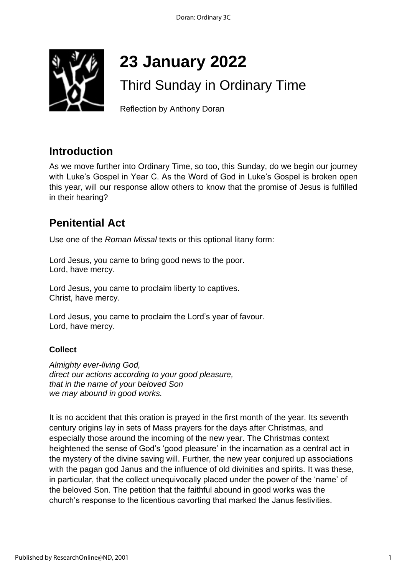

# **23 January 2022**

# Third Sunday in Ordinary Time

Reflection by Anthony Doran

### **Introduction**

As we move further into Ordinary Time, so too, this Sunday, do we begin our journey with Luke's Gospel in Year C. As the Word of God in Luke's Gospel is broken open this year, will our response allow others to know that the promise of Jesus is fulfilled in their hearing?

### **Penitential Act**

Use one of the *Roman Missal* texts or this optional litany form:

Lord Jesus, you came to bring good news to the poor. Lord, have mercy.

Lord Jesus, you came to proclaim liberty to captives. Christ, have mercy.

Lord Jesus, you came to proclaim the Lord's year of favour. Lord, have mercy.

### **Collect**

*Almighty ever-living God, direct our actions according to your good pleasure, that in the name of your beloved Son we may abound in good works.* 

It is no accident that this oration is prayed in the first month of the year. Its seventh century origins lay in sets of Mass prayers for the days after Christmas, and especially those around the incoming of the new year. The Christmas context heightened the sense of God's 'good pleasure' in the incarnation as a central act in the mystery of the divine saving will. Further, the new year conjured up associations with the pagan god Janus and the influence of old divinities and spirits. It was these, in particular, that the collect unequivocally placed under the power of the 'name' of the beloved Son. The petition that the faithful abound in good works was the church's response to the licentious cavorting that marked the Janus festivities.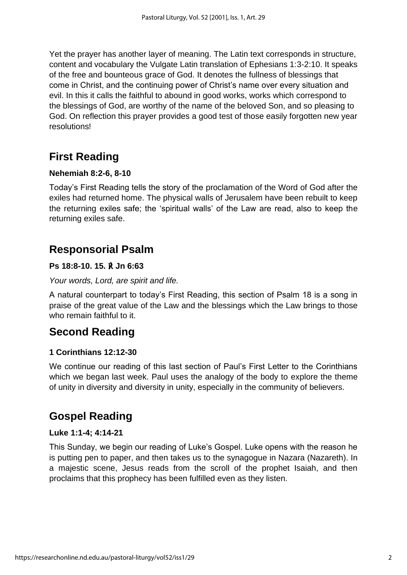Yet the prayer has another layer of meaning. The Latin text corresponds in structure, content and vocabulary the Vulgate Latin translation of Ephesians 1:3-2:10. It speaks of the free and bounteous grace of God. It denotes the fullness of blessings that come in Christ, and the continuing power of Christ's name over every situation and evil. In this it calls the faithful to abound in good works, works which correspond to the blessings of God, are worthy of the name of the beloved Son, and so pleasing to God. On reflection this prayer provides a good test of those easily forgotten new year resolutions!

### **First Reading**

#### **Nehemiah 8:2-6, 8-10**

Today's First Reading tells the story of the proclamation of the Word of God after the exiles had returned home. The physical walls of Jerusalem have been rebuilt to keep the returning exiles safe; the 'spiritual walls' of the Law are read, also to keep the returning exiles safe.

### **Responsorial Psalm**

#### **Ps 18:8-10. 15.** ℟ **Jn 6:63**

#### *Your words, Lord, are spirit and life.*

A natural counterpart to today's First Reading, this section of Psalm 18 is a song in praise of the great value of the Law and the blessings which the Law brings to those who remain faithful to it.

### **Second Reading**

#### **1 Corinthians 12:12-30**

We continue our reading of this last section of Paul's First Letter to the Corinthians which we began last week. Paul uses the analogy of the body to explore the theme of unity in diversity and diversity in unity, especially in the community of believers.

### **Gospel Reading**

#### **Luke 1:1-4; 4:14-21**

This Sunday, we begin our reading of Luke's Gospel. Luke opens with the reason he is putting pen to paper, and then takes us to the synagogue in Nazara (Nazareth). In a majestic scene, Jesus reads from the scroll of the prophet Isaiah, and then proclaims that this prophecy has been fulfilled even as they listen.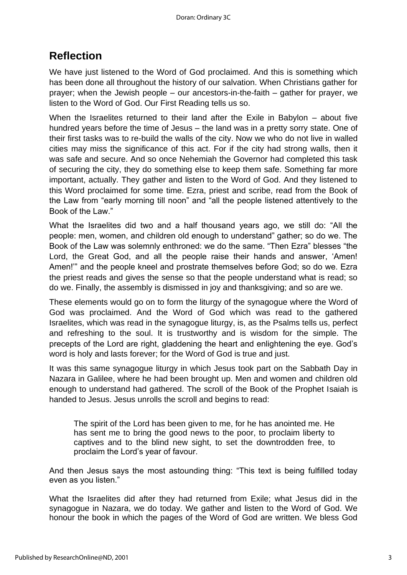### **Reflection**

We have just listened to the Word of God proclaimed. And this is something which has been done all throughout the history of our salvation. When Christians gather for prayer; when the Jewish people – our ancestors-in-the-faith – gather for prayer, we listen to the Word of God. Our First Reading tells us so.

When the Israelites returned to their land after the Exile in Babylon – about five hundred years before the time of Jesus – the land was in a pretty sorry state. One of their first tasks was to re-build the walls of the city. Now we who do not live in walled cities may miss the significance of this act. For if the city had strong walls, then it was safe and secure. And so once Nehemiah the Governor had completed this task of securing the city, they do something else to keep them safe. Something far more important, actually. They gather and listen to the Word of God. And they listened to this Word proclaimed for some time. Ezra, priest and scribe, read from the Book of the Law from "early morning till noon" and "all the people listened attentively to the Book of the Law."

What the Israelites did two and a half thousand years ago, we still do: "All the people: men, women, and children old enough to understand" gather; so do we. The Book of the Law was solemnly enthroned: we do the same. "Then Ezra" blesses "the Lord, the Great God, and all the people raise their hands and answer, 'Amen! Amen!'" and the people kneel and prostrate themselves before God; so do we. Ezra the priest reads and gives the sense so that the people understand what is read; so do we. Finally, the assembly is dismissed in joy and thanksgiving; and so are we.

These elements would go on to form the liturgy of the synagogue where the Word of God was proclaimed. And the Word of God which was read to the gathered Israelites, which was read in the synagogue liturgy, is, as the Psalms tells us, perfect and refreshing to the soul. It is trustworthy and is wisdom for the simple. The precepts of the Lord are right, gladdening the heart and enlightening the eye. God's word is holy and lasts forever; for the Word of God is true and just.

It was this same synagogue liturgy in which Jesus took part on the Sabbath Day in Nazara in Galilee, where he had been brought up. Men and women and children old enough to understand had gathered. The scroll of the Book of the Prophet Isaiah is handed to Jesus. Jesus unrolls the scroll and begins to read:

The spirit of the Lord has been given to me, for he has anointed me. He has sent me to bring the good news to the poor, to proclaim liberty to captives and to the blind new sight, to set the downtrodden free, to proclaim the Lord's year of favour.

And then Jesus says the most astounding thing: "This text is being fulfilled today even as you listen."

What the Israelites did after they had returned from Exile; what Jesus did in the synagogue in Nazara, we do today. We gather and listen to the Word of God. We honour the book in which the pages of the Word of God are written. We bless God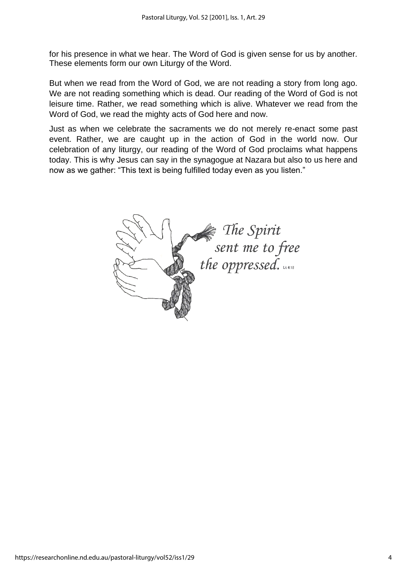for his presence in what we hear. The Word of God is given sense for us by another. These elements form our own Liturgy of the Word.

But when we read from the Word of God, we are not reading a story from long ago. We are not reading something which is dead. Our reading of the Word of God is not leisure time. Rather, we read something which is alive. Whatever we read from the Word of God, we read the mighty acts of God here and now.

Just as when we celebrate the sacraments we do not merely re-enact some past event. Rather, we are caught up in the action of God in the world now. Our celebration of any liturgy, our reading of the Word of God proclaims what happens today. This is why Jesus can say in the synagogue at Nazara but also to us here and now as we gather: "This text is being fulfilled today even as you listen."

The Spirit<br>sent me to free<br>the oppressed.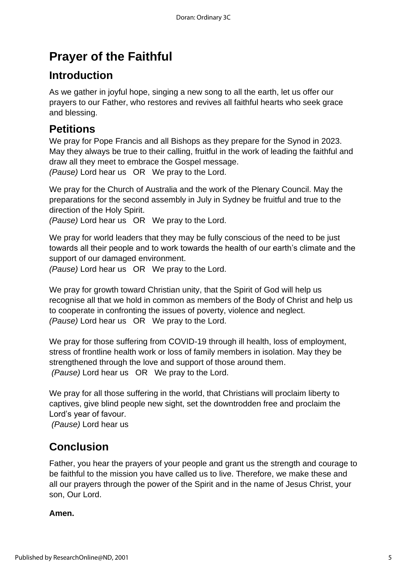## **Prayer of the Faithful**

### **Introduction**

As we gather in joyful hope, singing a new song to all the earth, let us offer our prayers to our Father, who restores and revives all faithful hearts who seek grace and blessing.

### **Petitions**

We pray for Pope Francis and all Bishops as they prepare for the Synod in 2023. May they always be true to their calling, fruitful in the work of leading the faithful and draw all they meet to embrace the Gospel message.

*(Pause)* Lord hear us OR We pray to the Lord.

We pray for the Church of Australia and the work of the Plenary Council. May the preparations for the second assembly in July in Sydney be fruitful and true to the direction of the Holy Spirit.

*(Pause)* Lord hear us OR We pray to the Lord.

We pray for world leaders that they may be fully conscious of the need to be just towards all their people and to work towards the health of our earth's climate and the support of our damaged environment.

*(Pause)* Lord hear us OR We pray to the Lord.

We pray for growth toward Christian unity, that the Spirit of God will help us recognise all that we hold in common as members of the Body of Christ and help us to cooperate in confronting the issues of poverty, violence and neglect. *(Pause)* Lord hear us OR We pray to the Lord.

We pray for those suffering from COVID-19 through ill health, loss of employment, stress of frontline health work or loss of family members in isolation. May they be strengthened through the love and support of those around them. *(Pause)* Lord hear us OR We pray to the Lord.

We pray for all those suffering in the world, that Christians will proclaim liberty to captives, give blind people new sight, set the downtrodden free and proclaim the Lord's year of favour.

*(Pause)* Lord hear us

### **Conclusion**

Father, you hear the prayers of your people and grant us the strength and courage to be faithful to the mission you have called us to live. Therefore, we make these and all our prayers through the power of the Spirit and in the name of Jesus Christ, your son, Our Lord.

### **Amen.**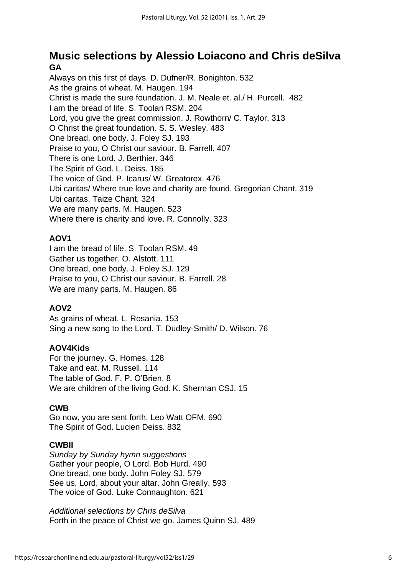### **Music selections by Alessio Loiacono and Chris deSilva GA**

Always on this first of days. D. Dufner/R. Bonighton. 532 As the grains of wheat. M. Haugen. 194 Christ is made the sure foundation. J. M. Neale et. al./ H. Purcell. 482 I am the bread of life. S. Toolan RSM. 204 Lord, you give the great commission. J. Rowthorn/ C. Taylor. 313 O Christ the great foundation. S. S. Wesley. 483 One bread, one body. J. Foley SJ. 193 Praise to you, O Christ our saviour. B. Farrell. 407 There is one Lord. J. Berthier. 346 The Spirit of God. L. Deiss. 185 The voice of God. P. Icarus/ W. Greatorex. 476 Ubi caritas/ Where true love and charity are found. Gregorian Chant. 319 Ubi caritas. Taize Chant. 324 We are many parts. M. Haugen. 523 Where there is charity and love. R. Connolly. 323

### **AOV1**

I am the bread of life. S. Toolan RSM. 49 Gather us together. O. Alstott. 111 One bread, one body. J. Foley SJ. 129 Praise to you, O Christ our saviour. B. Farrell. 28 We are many parts. M. Haugen. 86

### **AOV2**

As grains of wheat. L. Rosania. 153 Sing a new song to the Lord. T. Dudley-Smith/ D. Wilson. 76

### **AOV4Kids**

For the journey. G. Homes. 128 Take and eat. M. Russell. 114 The table of God. F. P. O'Brien. 8 We are children of the living God. K. Sherman CSJ. 15

### **CWB**

Go now, you are sent forth. Leo Watt OFM. 690 The Spirit of God. Lucien Deiss. 832

#### **CWBII**

*Sunday by Sunday hymn suggestions* Gather your people, O Lord. Bob Hurd. 490 One bread, one body. John Foley SJ. 579 See us, Lord, about your altar. John Greally. 593 The voice of God. Luke Connaughton. 621

*Additional selections by Chris deSilva* Forth in the peace of Christ we go. James Quinn SJ. 489